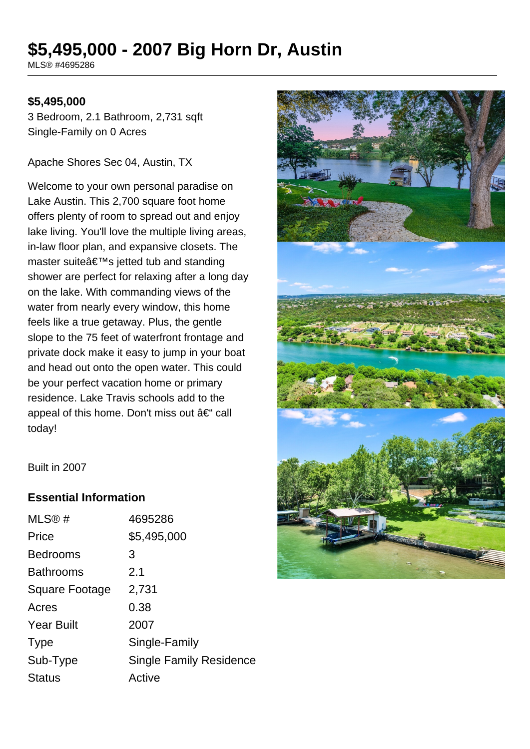# **\$5,495,000 - 2007 Big Horn Dr, Austin**

MLS® #4695286

#### **\$5,495,000**

3 Bedroom, 2.1 Bathroom, 2,731 sqft Single-Family on 0 Acres

Apache Shores Sec 04, Austin, TX

Welcome to your own personal paradise on Lake Austin. This 2,700 square foot home offers plenty of room to spread out and enjoy lake living. You'll love the multiple living areas, in-law floor plan, and expansive closets. The master suite's jetted tub and standing shower are perfect for relaxing after a long day on the lake. With commanding views of the water from nearly every window, this home feels like a true getaway. Plus, the gentle slope to the 75 feet of waterfront frontage and private dock make it easy to jump in your boat and head out onto the open water. This could be your perfect vacation home or primary residence. Lake Travis schools add to the appeal of this home. Don't miss out  $a \in \mathcal{C}$  call today!



Built in 2007

#### **Essential Information**

| MLS®#                 | 4695286                        |
|-----------------------|--------------------------------|
| Price                 | \$5,495,000                    |
| <b>Bedrooms</b>       | 3                              |
| <b>Bathrooms</b>      | 2.1                            |
| <b>Square Footage</b> | 2,731                          |
| Acres                 | 0.38                           |
| <b>Year Built</b>     | 2007                           |
| <b>Type</b>           | Single-Family                  |
| Sub-Type              | <b>Single Family Residence</b> |
| <b>Status</b>         | Active                         |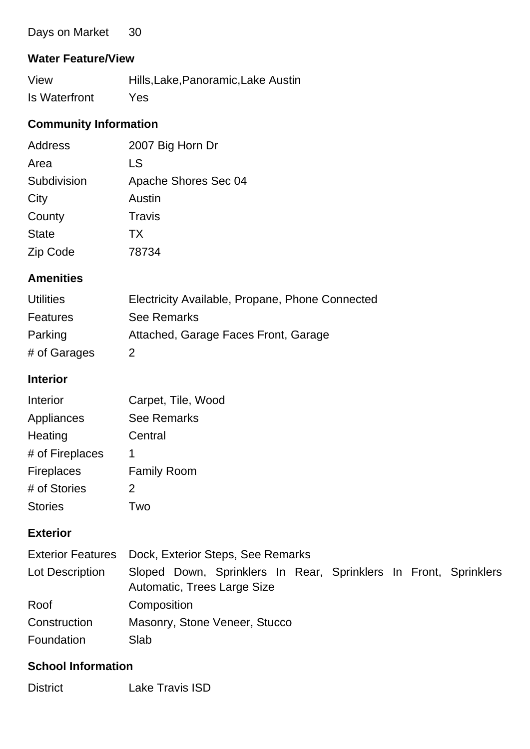| 30<br>Days on Market |
|----------------------|
|----------------------|

## **Water Feature/View**

| View          | Hills, Lake, Panoramic, Lake Austin |
|---------------|-------------------------------------|
| Is Waterfront | Yes                                 |

## **Community Information**

| <b>Address</b> | 2007 Big Horn Dr     |
|----------------|----------------------|
| Area           | LS                   |
| Subdivision    | Apache Shores Sec 04 |
| City           | Austin               |
| County         | Travis               |
| <b>State</b>   | <b>TX</b>            |
| Zip Code       | 78734                |

## **Amenities**

| <b>Utilities</b> | Electricity Available, Propane, Phone Connected |
|------------------|-------------------------------------------------|
| Features         | See Remarks                                     |
| Parking          | Attached, Garage Faces Front, Garage            |
| # of Garages     |                                                 |

#### **Interior**

| Interior          | Carpet, Tile, Wood |
|-------------------|--------------------|
| Appliances        | <b>See Remarks</b> |
| Heating           | Central            |
| # of Fireplaces   | 1                  |
| <b>Fireplaces</b> | <b>Family Room</b> |
| # of Stories      | 2                  |
| <b>Stories</b>    | Two                |

## **Exterior**

|                 | Exterior Features Dock, Exterior Steps, See Remarks                                             |  |  |
|-----------------|-------------------------------------------------------------------------------------------------|--|--|
| Lot Description | Sloped Down, Sprinklers In Rear, Sprinklers In Front, Sprinklers<br>Automatic, Trees Large Size |  |  |
| Roof            | Composition                                                                                     |  |  |
| Construction    | Masonry, Stone Veneer, Stucco                                                                   |  |  |
| Foundation      | Slab                                                                                            |  |  |

### **School Information**

District Lake Travis ISD